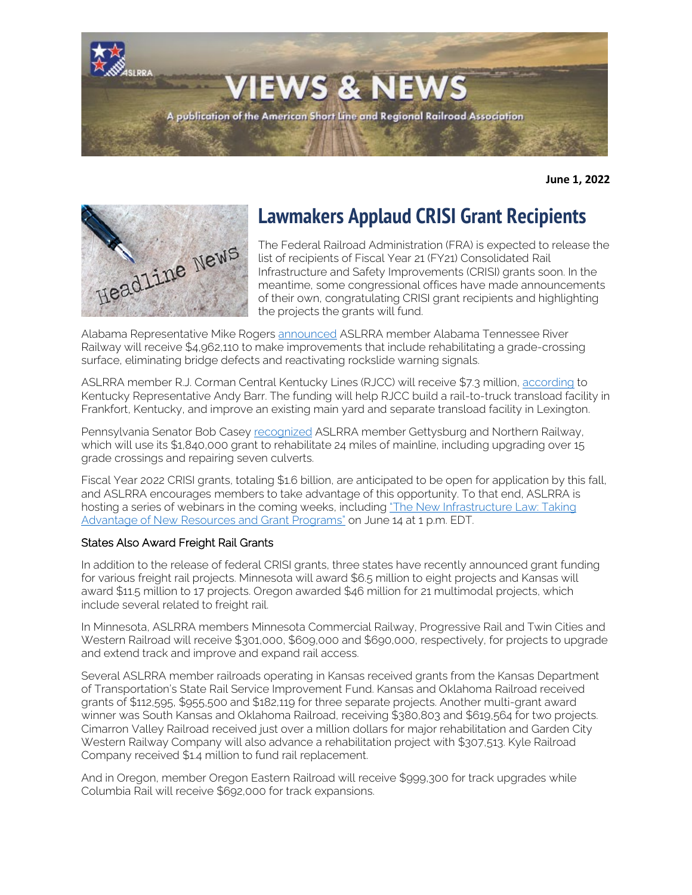

**June 1, 2022**



# **Lawmakers Applaud CRISI Grant Recipients**

The Federal Railroad Administration (FRA) is expected to release the list of recipients of Fiscal Year 21 (FY21) Consolidated Rail Infrastructure and Safety Improvements (CRISI) grants soon. In the meantime, some congressional offices have made announcements of their own, congratulating CRISI grant recipients and highlighting the projects the grants will fund.

Alabama Representative Mike Rogers [announced](https://mikerogers.house.gov/news/documentsingle.aspx?DocumentID=1913) ASLRRA member Alabama Tennessee River Railway will receive \$4,962,110 to make improvements that include rehabilitating a grade-crossing surface, eliminating bridge defects and reactivating rockslide warning signals.

ASLRRA member R.J. Corman Central Kentucky Lines (RJCC) will receive \$7.3 million[, according](https://barr.house.gov/press-releases?id=71848E65-07B6-43F8-A063-02838F55D259) to Kentucky Representative Andy Barr. The funding will help RJCC build a rail-to-truck transload facility in Frankfort, Kentucky, and improve an existing main yard and separate transload facility in Lexington.

Pennsylvania Senator Bob Casey [recognized](https://www.casey.senate.gov/news/releases/casey-announces-1840000-for-gettysburg-northern-railway) ASLRRA member Gettysburg and Northern Railway, which will use its \$1,840,000 grant to rehabilitate 24 miles of mainline, including upgrading over 15 grade crossings and repairing seven culverts.

Fiscal Year 2022 CRISI grants, totaling \$1.6 billion, are anticipated to be open for application by this fall, and ASLRRA encourages members to take advantage of this opportunity. To that end, ASLRRA is hosting a series of webinars in the coming weeks, including ["The New Infrastructure Law: Taking](https://www.aslrra.org/education/webinars/)  [Advantage of New Resources and Grant Programs"](https://www.aslrra.org/education/webinars/) on June 14 at 1 p.m. EDT.

#### States Also Award Freight Rail Grants

In addition to the release of federal CRISI grants, three states have recently announced grant funding for various freight rail projects. Minnesota will award \$6.5 million to eight projects and Kansas will award \$11.5 million to 17 projects. Oregon awarded \$46 million for 21 multimodal projects, which include several related to freight rail.

In Minnesota, ASLRRA members Minnesota Commercial Railway, Progressive Rail and Twin Cities and Western Railroad will receive \$301,000, \$609,000 and \$690,000, respectively, for projects to upgrade and extend track and improve and expand rail access.

Several ASLRRA member railroads operating in Kansas received grants from the Kansas Department of Transportation's State Rail Service Improvement Fund. Kansas and Oklahoma Railroad received grants of \$112,595, \$955,500 and \$182,119 for three separate projects. Another multi-grant award winner was South Kansas and Oklahoma Railroad, receiving \$380,803 and \$619,564 for two projects. Cimarron Valley Railroad received just over a million dollars for major rehabilitation and Garden City Western Railway Company will also advance a rehabilitation project with \$307,513. Kyle Railroad Company received \$1.4 million to fund rail replacement.

And in Oregon, member Oregon Eastern Railroad will receive \$999,300 for track upgrades while Columbia Rail will receive \$692,000 for track expansions.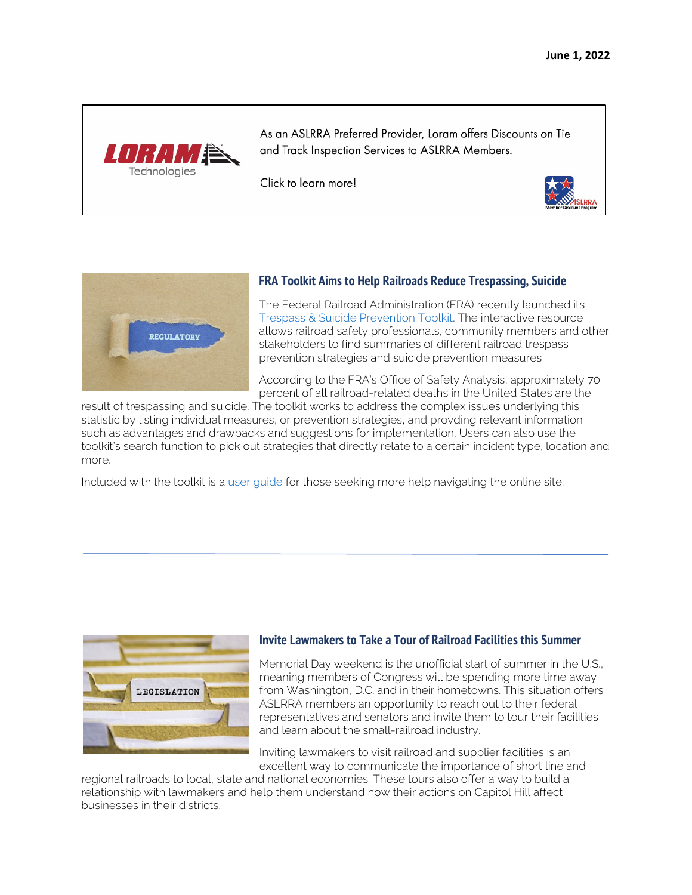

As an ASLRRA Preferred Provider, Loram offers Discounts on Tie and Track Inspection Services to ASLRRA Members.

Click to learn more!





#### **FRA Toolkit Aims to Help Railroads Reduce Trespassing, Suicide**

The Federal Railroad Administration (FRA) recently launched its [Trespass & Suicide Prevention Toolkit.](https://trespasstoolkit.fra.dot.gov/eLib/Find#p1_z100_gD) The interactive resource allows railroad safety professionals, community members and other stakeholders to find summaries of different railroad trespass prevention strategies and suicide prevention measures,

According to the FRA's Office of Safety Analysis, approximately 70 percent of all railroad-related deaths in the United States are the

result of trespassing and suicide. The toolkit works to address the complex issues underlying this statistic by listing individual measures, or prevention strategies, and provding relevant information such as advantages and drawbacks and suggestions for implementation. Users can also use the toolkit's search function to pick out strategies that directly relate to a certain incident type, location and more.

Included with the toolkit is a [user guide](https://trespasstoolkit.fra.dot.gov/Modules/RadCms.Elibrary/assets/pdf/TSPToolkit_UserGuide_Final_4.15.22.pdf) for those seeking more help navigating the online site.



#### **Invite Lawmakers to Take a Tour of Railroad Facilities this Summer**

Memorial Day weekend is the unofficial start of summer in the U.S., meaning members of Congress will be spending more time away from Washington, D.C. and in their hometowns. This situation offers ASLRRA members an opportunity to reach out to their federal representatives and senators and invite them to tour their facilities and learn about the small-railroad industry.

Inviting lawmakers to visit railroad and supplier facilities is an excellent way to communicate the importance of short line and

regional railroads to local, state and national economies. These tours also offer a way to build a relationship with lawmakers and help them understand how their actions on Capitol Hill affect businesses in their districts.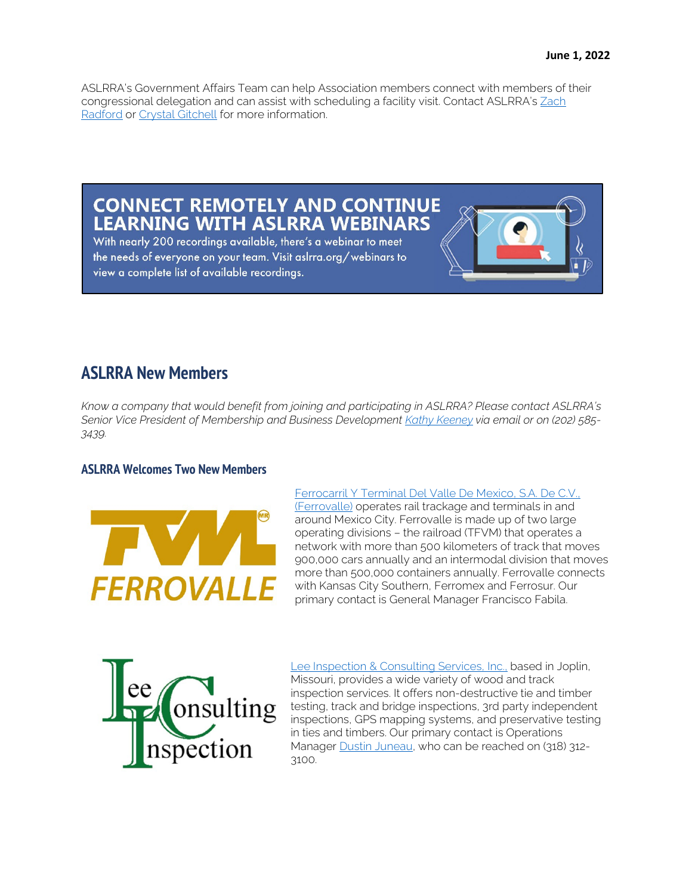ASLRRA's Government Affairs Team can help Association members connect with members of their congressional delegation and can assist with scheduling a facility visit. Contact ASLRRA's [Zach](mailto:zradford@aslrra.org?subject=Congressional%20site%20visit)  [Radford](mailto:zradford@aslrra.org?subject=Congressional%20site%20visit) or [Crystal Gitchell](mailto:cgitchell@aslrra.org?subject=Congressional%20site%20visit) for more information.

### **CONNECT REMOTELY AND CONTINUE LEARNING WITH ASLRRA WEBINARS**

With nearly 200 recordings available, there's a webinar to meet the needs of everyone on your team. Visit aslrra.org/webinars to view a complete list of available recordings.



*Know a company that would benefit from joining and participating in ASLRRA? Please contact ASLRRA's Senior Vice President of Membership and Business Developmen[t Kathy Keeney](mailto:kkeeney@aslrra.org?subject=Membership) via email or on (202) 585- 3439.*

#### **ASLRRA Welcomes Two New Members**



[Ferrocarril Y Terminal Del Valle De Mexico, S.A. De C.V.,](http://www.ferrovalle.mx/en/)  [\(Ferrovalle\)](http://www.ferrovalle.mx/en/) operates rail trackage and terminals in and around Mexico City. Ferrovalle is made up of two large operating divisions – the railroad (TFVM) that operates a network with more than 500 kilometers of track that moves 900,000 cars annually and an intermodal division that moves more than 500,000 containers annually. Ferrovalle connects with Kansas City Southern, Ferromex and Ferrosur. Our primary contact is General Manager Francisco Fabila.



[Lee Inspection & Consulting Services, Inc.,](http://www.leeinspect.com/) based in Joplin, Missouri, provides a wide variety of wood and track inspection services. It offers non-destructive tie and timber testing, track and bridge inspections, 3rd party independent inspections, GPS mapping systems, and preservative testing in ties and timbers. Our primary contact is Operations Manager [Dustin Juneau,](mailto:drjuneau@leeinspect.com?subject=ASLRRA) who can be reached on (318) 312-3100.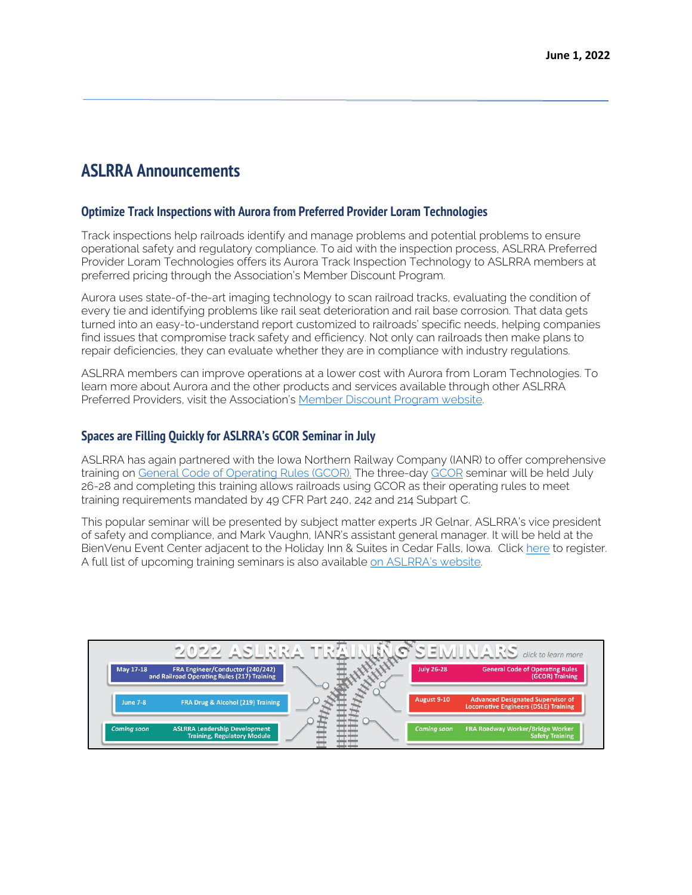### **ASLRRA Announcements**

#### **Optimize Track Inspections with Aurora from Preferred Provider Loram Technologies**

Track inspections help railroads identify and manage problems and potential problems to ensure operational safety and regulatory compliance. To aid with the inspection process, ASLRRA Preferred Provider Loram Technologies offers its Aurora Track Inspection Technology to ASLRRA members at preferred pricing through the Association's Member Discount Program.

Aurora uses state-of-the-art imaging technology to scan railroad tracks, evaluating the condition of every tie and identifying problems like rail seat deterioration and rail base corrosion. That data gets turned into an easy-to-understand report customized to railroads' specific needs, helping companies find issues that compromise track safety and efficiency. Not only can railroads then make plans to repair deficiencies, they can evaluate whether they are in compliance with industry regulations.

ASLRRA members can improve operations at a lower cost with Aurora from Loram Technologies. To learn more about Aurora and the other products and services available through other ASLRRA Preferred Providers, visit the Association's [Member Discount Program website.](https://www.aslrra.org/member-resources/member-discount-program/) 

#### **Spaces are Filling Quickly for ASLRRA's GCOR Seminar in July**

ASLRRA has again partnered with the Iowa Northern Railway Company (IANR) to offer comprehensive training on [General Code of Operating Rules \(GCOR\).](https://www.aslrra.org/education/training-seminars/comprehensive-general-code-of-operating-rules-gcor-training-seminar/) The three-day [GCOR](https://www.aslrra.org/education/training-seminars/comprehensive-general-code-of-operating-rules-gcor-training-seminar/) seminar will be held July 26-28 and completing this training allows railroads using GCOR as their operating rules to meet training requirements mandated by 49 CFR Part 240, 242 and 214 Subpart C.

This popular seminar will be presented by subject matter experts JR Gelnar, ASLRRA's vice president of safety and compliance, and Mark Vaughn, IANR's assistant general manager. It will be held at the BienVenu Event Center adjacent to the Holiday Inn & Suites in Cedar Falls, Iowa. Click [here](https://aslrra.force.com/s/login/?ec=302&inst=4W&startURL=%2Fidp%2Flogin%3Fapp%3D0sp4W000000wkde%26RelayState%3DaHR0cHM6Ly93d3cuYXNscnJhLm9yZy9lZHVjYXRpb24vdHJhaW5pbmctc2VtaW5hcnMvY29tcHJlaGVuc2l2ZS1nZW5lcmFsLWNvZGUtb2Ytb3BlcmF0aW5nLXJ1bGVzLWdjb3ItdHJhaW5pbmctc2VtaW5hci9yZWdpc3Rlci1ub3cv%26binding%3DHttpPost%26inresponseto%3DASLRRA) to register. A full list of upcoming training seminars is also available [on ASLRRA's website.](https://www.aslrra.org/education/training-seminars/) 

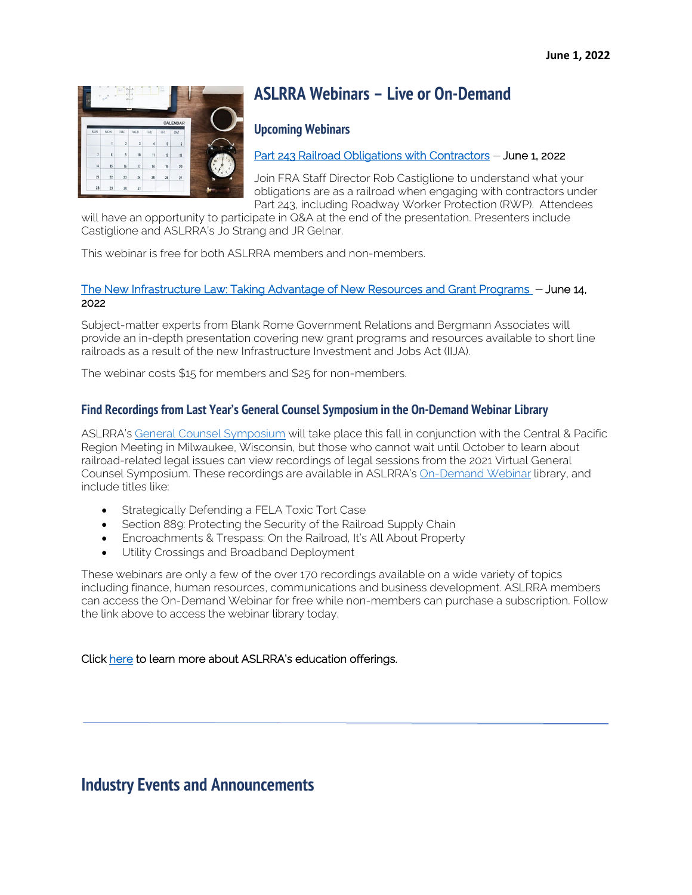

## **ASLRRA Webinars – Live or On-Demand**

#### **Upcoming Webinars**

[Part 243 Railroad Obligations with Contractors](https://www.aslrra.org/education/webinars/) – June 1, 2022

Join FRA Staff Director Rob Castiglione to understand what your obligations are as a railroad when engaging with contractors under Part 243, including Roadway Worker Protection (RWP). Attendees

will have an opportunity to participate in Q&A at the end of the presentation. Presenters include Castiglione and ASLRRA's Jo Strang and JR Gelnar.

This webinar is free for both ASLRRA members and non-members.

#### [The New Infrastructure Law: Taking Advantage of New Resources and Grant Programs](https://www.aslrra.org/education/webinars/) – June 14, 2022

Subject-matter experts from Blank Rome Government Relations and Bergmann Associates will provide an in-depth presentation covering new grant programs and resources available to short line railroads as a result of the new Infrastructure Investment and Jobs Act (IIJA).

The webinar costs \$15 for members and \$25 for non-members.

#### **Find Recordings from Last Year's General Counsel Symposium in the On-Demand Webinar Library**

ASLRRA's [General Counsel Symposium](https://www.aslrra.org/events/regional-meetings/) will take place this fall in conjunction with the Central & Pacific Region Meeting in Milwaukee, Wisconsin, but those who cannot wait until October to learn about railroad-related legal issues can view recordings of legal sessions from the 2021 Virtual General Counsel Symposium. These recordings are available in ASLRRA's [On-Demand Webinar](https://www.aslrra.org/education/webinars/) library, and include titles like:

- Strategically Defending a FELA Toxic Tort Case
- Section 889: Protecting the Security of the Railroad Supply Chain
- Encroachments & Trespass: On the Railroad, It's All About Property
- Utility Crossings and Broadband Deployment

These webinars are only a few of the over 170 recordings available on a wide variety of topics including finance, human resources, communications and business development. ASLRRA members can access the On-Demand Webinar for free while non-members can purchase a subscription. Follow the link above to access the webinar library today.

#### Click [here](https://www.aslrra.org/education/education-offerings/) to learn more about ASLRRA's education offerings.

### **Industry Events and Announcements**